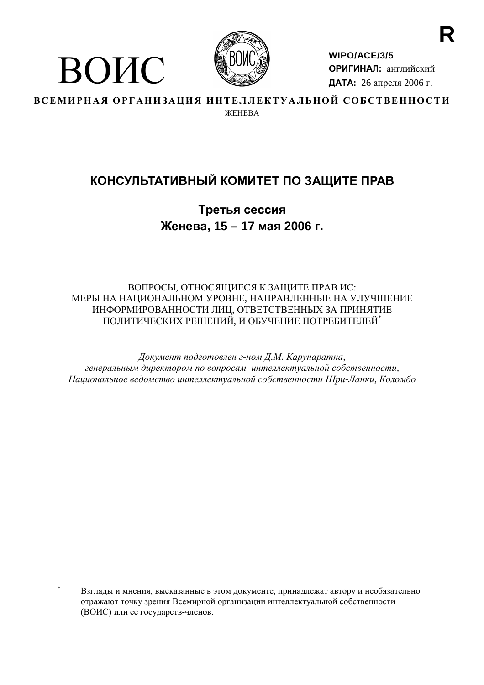

ВОИС

WIPO/ACE/3/5 ОРИГИНАЛ: английский ДАТА: 26 апреля 2006 г.

ВСЕМИРНАЯ ОРГАНИЗАЦИЯ ИНТЕЛЛЕКТУАЛЬНОЙ СОБСТВЕННОСТИ **WEHERA** 

# КОНСУЛЬТАТИВНЫЙ КОМИТЕТ ПО ЗАЩИТЕ ПРАВ

Третья сессия Женева, 15 - 17 мая 2006 г.

# ВОПРОСЫ, ОТНОСЯЩИЕСЯ К ЗАЩИТЕ ПРАВ ИС: МЕРЫ НА НАПИОНАЛЬНОМ УРОВНЕ. НАПРАВЛЕННЫЕ НА УЛУЧШЕНИЕ ИНФОРМИРОВАННОСТИ ЛИЦ, ОТВЕТСТВЕННЫХ ЗА ПРИНЯТИЕ ПОЛИТИЧЕСКИХ РЕШЕНИЙ, И ОБУЧЕНИЕ ПОТРЕБИТЕЛЕЙ\*

Документ подготовлен г-ном Д.М. Карунаратна, генеральным директором по вопросам интеллектуальной собственности, Национальное ведомство интеллектуальной собственности Шри-Ланки, Коломбо

Взгляды и мнения, высказанные в этом документе, принадлежат автору и необязательно отражают точку зрения Всемирной организации интеллектуальной собственности (ВОИС) или ее государств-членов.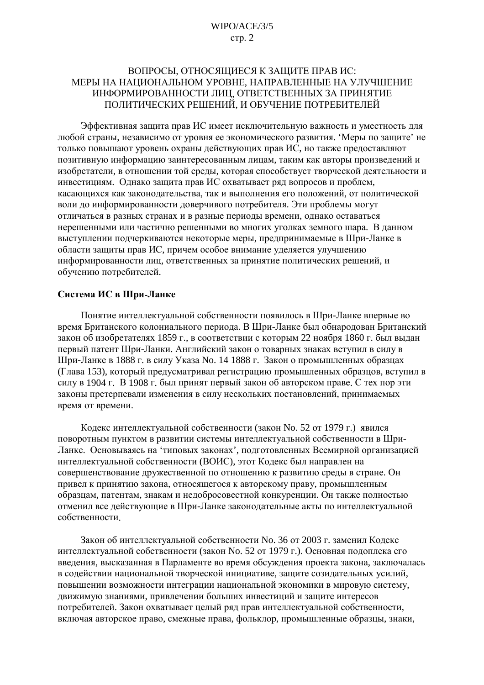# ВОПРОСЫ, ОТНОСЯЩИЕСЯ К ЗАЩИТЕ ПРАВ ИС: МЕРЫ НА НАЦИОНАЛЬНОМ УРОВНЕ. НАПРАВЛЕННЫЕ НА УЛУЧШЕНИЕ ИНФОРМИРОВАННОСТИ ЛИЦ, ОТВЕТСТВЕННЫХ ЗА ПРИНЯТИЕ ПОЛИТИЧЕСКИХ РЕШЕНИЙ, И ОБУЧЕНИЕ ПОТРЕБИТЕЛЕЙ

Эффективная защита прав ИС имеет исключительную важность и уместность для любой страны, независимо от уровня ее экономического развития. 'Меры по защите' не только повышают уровень охраны действующих прав ИС, но также предоставляют позитивную информацию заинтересованным лицам, таким как авторы произведений и изобретатели, в отношении той среды, которая способствует творческой деятельности и инвестициям. Однако защита прав ИС охватывает ряд вопросов и проблем, касающихся как законодательства, так и выполнения его положений, от политической воли до информированности доверчивого потребителя. Эти проблемы могут отличаться в разных странах и в разные периоды времени, однако оставаться нерешенными или частично решенными во многих уголках земного шара. В данном выступлении подчеркиваются некоторые меры, предпринимаемые в Шри-Ланке в области защиты прав ИС, причем особое внимание уделяется улучшению информированности лиц, ответственных за принятие политических решений, и обучению потребителей.

## Система ИС в Шри-Ланке

Понятие интеллектуальной собственности появилось в Шри-Ланке впервые во время Британского колониального периода. В Шри-Ланке был обнародован Британский закон об изобретателях 1859 г., в соответствии с которым 22 ноября 1860 г. был выдан первый патент Шри-Ланки. Английский закон о товарных знаках вступил в силу в Шри-Ланке в 1888 г. в силу Указа No. 14 1888 г. Закон о промышленных образцах (Глава 153), который предусматривал регистрацию промышленных образцов, вступил в силу в 1904 г. В 1908 г. был принят первый закон об авторском праве. С тех пор эти законы претерпевали изменения в силу нескольких постановлений, принимаемых время от времени.

Кодекс интеллектуальной собственности (закон No. 52 от 1979 г.) явился поворотным пунктом в развитии системы интеллектуальной собственности в Шри-Ланке. Основываясь на 'типовых законах', подготовленных Всемирной организацией интеллектуальной собственности (ВОИС), этот Кодекс был направлен на совершенствование дружественной по отношению к развитию среды в стране. Он привел к принятию закона, относящегося к авторскому праву, промышленным образцам, патентам, знакам и недобросовестной конкуренции. Он также полностью отменил все действующие в Шри-Ланке законодательные акты по интеллектуальной собственности.

Закон об интеллектуальной собственности No. 36 от 2003 г. заменил Колекс интеллектуальной собственности (закон No. 52 от 1979 г.). Основная подоплека его введения, высказанная в Парламенте во время обсуждения проекта закона, заключалась в содействии национальной творческой инициативе, защите созидательных усилий, повышении возможности интеграции национальной экономики в мировую систему, движимую знаниями, привлечении больших инвестиций и защите интересов потребителей. Закон охватывает целый ряд прав интеллектуальной собственности, включая авторское право, смежные права, фольклор, промышленные образцы, знаки,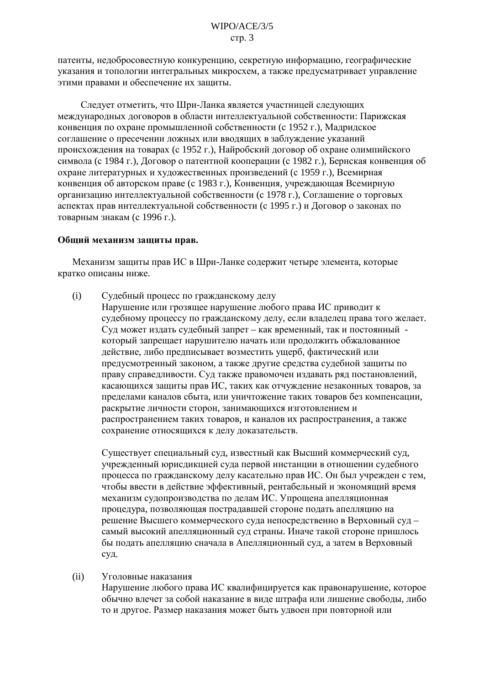патенты, недобросовестную конкуренцию, секретную информацию, географические указания и топологии интегральных микросхем, а также предусматривает управление этими правами и обеспечение их защиты.

Следует отметить, что Шри-Ланка является участницей следующих международных договоров в области интеллектуальной собственности: Парижская конвенция по охране промышленной собственности (с 1952 г.), Мадридское соглашение о пресечении ложных или вводящих в заблуждение указаний происхождения на товарах (с 1952 г.), Найробский договор об охране олимпийского символа (с 1984 г.), Договор о патентной кооперации (с 1982 г.), Бернская конвенция об охране литературных и художественных произведений (с 1959 г.), Всемирная конвенция об авторском праве (с 1983 г.), Конвенция, учреждающая Всемирную организацию интеллектуальной собственности (с 1978 г.), Соглашение о торговых аспектах прав интеллектуальной собственности (с 1995 г.) и Договор о законах по товарным знакам (с 1996 г.).

#### Общий механизм защиты прав.

Механизм защиты прав ИС в Шри-Ланке содержит четыре элемента, которые кратко описаны ниже.

- $(i)$ Судебный процесс по гражданскому делу
	- Нарушение или грозящее нарушение любого права ИС приводит к судебному процессу по гражданскому делу, если владелец права того желает. Суд может издать судебный запрет - как временный, так и постоянный который запрещает нарушителю начать или продолжить обжалованное действие, либо предписывает возместить ущерб, фактический или предусмотренный законом, а также другие средства судебной защиты по праву справедливости. Суд также правомочен издавать ряд постановлений, касающихся защиты прав ИС, таких как отчуждение незаконных товаров, за пределами каналов сбыта, или уничтожение таких товаров без компенсации, раскрытие личности сторон, занимающихся изготовлением и распространением таких товаров, и каналов их распространения, а также сохранение относящихся к делу доказательств.

Существует специальный суд, известный как Высший коммерческий суд, учрежденный юрисдикцией суда первой инстанции в отношении судебного процесса по гражданскому делу касательно прав ИС. Он был учрежден с тем, чтобы ввести в действие эффективный, рентабельный и экономящий время механизм судопроизводства по делам ИС. Упрощена апелляционная процедура, позволяющая пострадавшей стороне подать апелляцию на решение Высшего коммерческого суда непосредственно в Верховный суд самый высокий апелляционный суд страны. Иначе такой стороне пришлось бы подать апелляцию сначала в Апелляционный суд, а затем в Верховный суд.

 $(ii)$ Уголовные наказания

> Нарушение любого права ИС квалифицируется как правонарушение, которое обычно влечет за собой наказание в виде штрафа или лишение свободы, либо то и другое. Размер наказания может быть удвоен при повторной или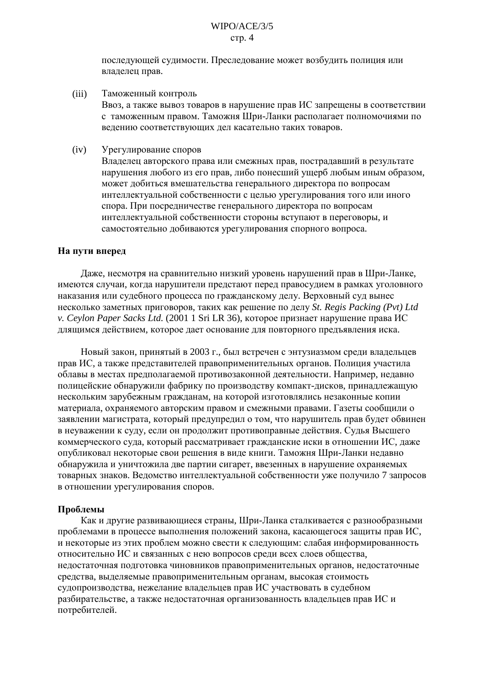## $W \Gamma P Q / A C E / 3/5$  $crp. 4$

последующей судимости. Преследование может возбудить полиция или владелец прав.

- $(iii)$ Таможенный контроль Ввоз, а также вывоз товаров в нарушение прав ИС запрещены в соответствии с таможенным правом. Таможня Шри-Ланки располагает полномочиями по ведению соответствующих дел касательно таких товаров.
- $(iv)$ Урегулирование споров

Владелец авторского права или смежных прав, пострадавший в результате нарушения любого из его прав, либо понесший ущерб любым иным образом, может добиться вмешательства генерального директора по вопросам интеллектуальной собственности с целью урегулирования того или иного спора. При посредничестве генерального директора по вопросам интеллектуальной собственности стороны вступают в переговоры, и самостоятельно добиваются урегулирования спорного вопроса.

#### На пути вперед

Даже, несмотря на сравнительно низкий уровень нарушений прав в Шри-Ланке. имеются случаи, когда нарушители предстают перед правосудием в рамках уголовного наказания или судебного процесса по гражданскому делу. Верховный суд вынес несколько заметных приговоров, таких как решение по делу St. Regis Packing (Pvt) Ltd v. Ceylon Paper Sacks Ltd. (2001 1 Sri LR 36), которое признает нарушение права ИС длящимся действием, которое дает основание для повторного предъявления иска.

Новый закон, принятый в 2003 г., был встречен с энтузиазмом среди владельцев прав ИС, а также представителей правоприменительных органов. Полиция участила облавы в местах предполагаемой противозаконной деятельности. Например, недавно полицейские обнаружили фабрику по производству компакт-дисков, принадлежащую нескольким зарубежным гражданам, на которой изготовлялись незаконные копии материала, охраняемого авторским правом и смежными правами. Газеты сообщили о заявлении магистрата, который предупредил о том, что нарушитель прав будет обвинен в неуважении к суду, если он продолжит противоправные действия. Судья Высшего коммерческого суда, который рассматривает гражданские иски в отношении ИС, даже опубликовал некоторые свои решения в виде книги. Таможня Шри-Ланки недавно обнаружила и уничтожила две партии сигарет, ввезенных в нарушение охраняемых товарных знаков. Ведомство интеллектуальной собственности уже получило 7 запросов в отношении урегулирования споров.

## Проблемы

Как и другие развивающиеся страны, Шри-Ланка сталкивается с разнообразными проблемами в процессе выполнения положений закона, касающегося защиты прав ИС. и некоторые из этих проблем можно свести к следующим: слабая информированность относительно ИС и связанных с нею вопросов среди всех слоев общества, недостаточная подготовка чиновников правоприменительных органов, недостаточные средства, выделяемые правоприменительным органам, высокая стоимость судопроизводства, нежелание владельцев прав ИС участвовать в судебном разбирательстве, а также недостаточная организованность владельцев прав ИС и потребителей.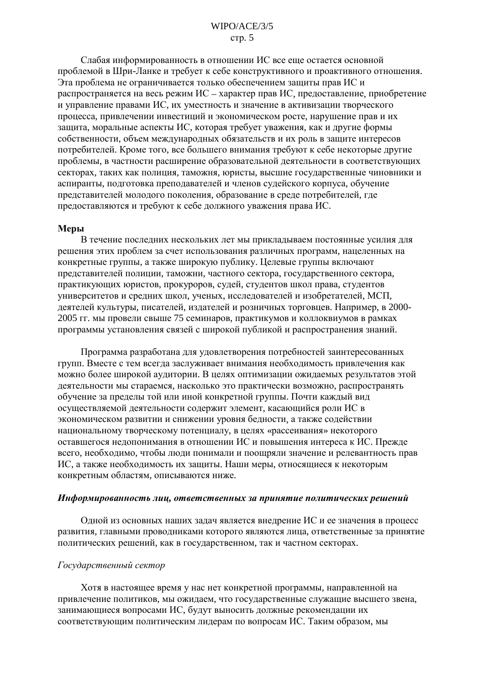Слабая информированность в отношении ИС все еще остается основной проблемой в Шри-Ланке и требует к себе конструктивного и проактивного отношения. Эта проблема не ограничивается только обеспечением защиты прав ИС и распространяется на весь режим ИС – характер прав ИС, предоставление, приобретение и управление правами ИС, их уместность и значение в активизации творческого процесса, привлечении инвестиций и экономическом росте, нарушение прав и их защита, моральные аспекты ИС, которая требует уважения, как и другие формы собственности, объем международных обязательств и их роль в защите интересов потребителей. Кроме того, все большего внимания требуют к себе некоторые другие проблемы, в частности расширение образовательной деятельности в соответствующих секторах, таких как полиция, таможня, юристы, высшие государственные чиновники и аспиранты, подготовка преподавателей и членов судейского корпуса, обучение представителей молодого поколения, образование в среде потребителей, где предоставляются и требуют к себе должного уважения права ИС.

#### Меры

В течение последних нескольких лет мы прикладываем постоянные усилия для решения этих проблем за счет использования различных программ, нацеленных на конкретные группы, а также широкую публику. Целевые группы включают представителей полиции, таможни, частного сектора, государственного сектора, практикующих юристов, прокуроров, судей, студентов школ права, студентов университетов и средних школ, ученых, исследователей и изобретателей, МСП, деятелей культуры, писателей, издателей и розничных торговцев. Например, в 2000-2005 гг. мы провели свыше 75 семинаров, практикумов и коллоквиумов в рамках программы установления связей с широкой публикой и распространения знаний.

Программа разработана для удовлетворения потребностей заинтересованных групп. Вместе с тем всегда заслуживает внимания необходимость привлечения как можно более широкой аудитории. В целях оптимизации ожидаемых результатов этой деятельности мы стараемся, насколько это практически возможно, распространять обучение за пределы той или иной конкретной группы. Почти каждый вид осуществляемой деятельности содержит элемент, касающийся роли ИС в экономическом развитии и снижении уровня бедности, а также содействии национальному творческому потенциалу, в целях «рассеивания» некоторого оставшегося недопонимания в отношении ИС и повышения интереса к ИС. Прежде всего, необходимо, чтобы люди понимали и поощряли значение и релевантность прав ИС, а также необходимость их защиты. Наши меры, относящиеся к некоторым конкретным областям, описываются ниже.

#### Информированность лиц, ответственных за принятие политических решений

Одной из основных наших задач является внедрение ИС и ее значения в процесс развития, главными проводниками которого являются лица, ответственные за принятие политических решений, как в государственном, так и частном секторах.

#### Государственный сектор

Хотя в настоящее время у нас нет конкретной программы, направленной на привлечение политиков, мы ожидаем, что государственные служащие высшего звена, занимающиеся вопросами ИС, будут выносить должные рекомендации их соответствующим политическим лидерам по вопросам ИС. Таким образом, мы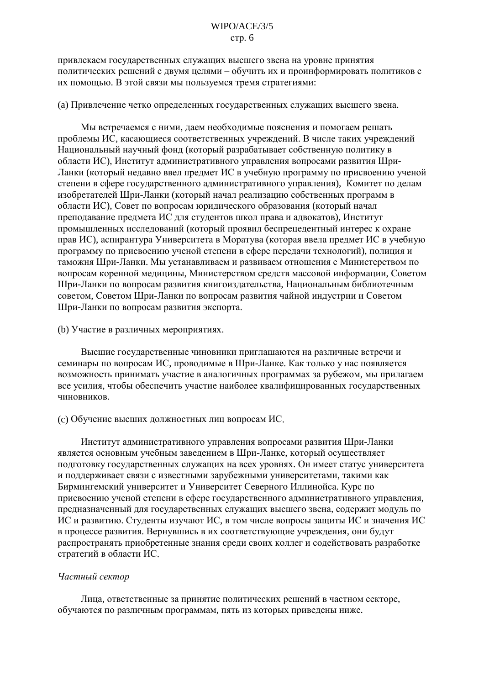привлекаем государственных служащих высшего звена на уровне принятия политических решений с двумя целями - обучить их и проинформировать политиков с их помощью. В этой связи мы пользуемся тремя стратегиями:

(а) Привлечение четко определенных государственных служащих высшего звена.

Мы встречаемся с ними, даем необходимые пояснения и помогаем решать проблемы ИС, касающиеся соответственных учреждений. В числе таких учреждений Национальный научный фонд (который разрабатывает собственную политику в области ИС), Институт административного управления вопросами развития Шри-Ланки (который недавно ввел предмет ИС в учебную программу по присвоению ученой степени в сфере государственного административного управления). Комитет по делам изобретателей Шри-Ланки (который начал реализацию собственных программ в области ИС), Совет по вопросам юридического образования (который начал преподавание предмета ИС для студентов школ права и адвокатов), Институт промышленных исследований (который проявил беспрецедентный интерес к охране прав ИС), аспирантура Университета в Моратува (которая ввела предмет ИС в учебную программу по присвоению ученой степени в сфере передачи технологий), полиция и таможня Шри-Ланки. Мы устанавливаем и развиваем отношения с Министерством по вопросам коренной медицины. Министерством средств массовой информации. Советом Шри-Ланки по вопросам развития книгоиздательства, Национальным библиотечным советом, Советом Шри-Ланки по вопросам развития чайной индустрии и Советом Шри-Ланки по вопросам развития экспорта.

#### (b) Участие в различных мероприятиях.

Высшие государственные чиновники приглашаются на различные встречи и семинары по вопросам ИС, проводимые в Шри-Ланке. Как только у нас появляется возможность принимать участие в аналогичных программах за рубежом, мы прилагаем все усилия, чтобы обеспечить участие наиболее квалифицированных государственных чиновников.

#### (с) Обучение высших должностных лиц вопросам ИС.

Институт административного управления вопросами развития Шри-Ланки является основным учебным заведением в Шри-Ланке, который осуществляет подготовку государственных служащих на всех уровнях. Он имеет статус университета и поддерживает связи с известными зарубежными университетами, такими как Бирмингемский университет и Университет Северного Иллинойса. Курс по присвоению ученой степени в сфере государственного административного управления, предназначенный для государственных служащих высшего звена, содержит модуль по ИС и развитию. Студенты изучают ИС, в том числе вопросы защиты ИС и значения ИС в процессе развития. Вернувшись в их соответствующие учреждения, они будут распространять приобретенные знания среди своих коллег и содействовать разработке стратегий в области ИС.

#### Частный сектор

Лица, ответственные за принятие политических решений в частном секторе, обучаются по различным программам, пять из которых приведены ниже.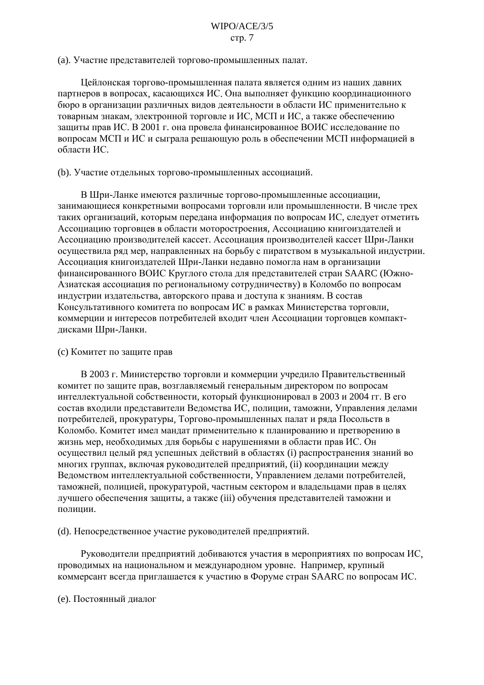(а). Участие представителей торгово-промышленных палат.

Цейлонская торгово-промышленная палата является одним из наших давних партнеров в вопросах, касающихся ИС. Она выполняет функцию координационного бюро в организации различных видов деятельности в области ИС применительно к товарным знакам, электронной торговле и ИС, МСП и ИС, а также обеспечению защиты прав ИС. В 2001 г. она провела финансированное ВОИС исследование по вопросам МСП и ИС и сыграла решающую роль в обеспечении МСП информацией в области ИС.

(b). Участие отдельных торгово-промышленных ассоциаций.

В Шри-Ланке имеются различные торгово-промышленные ассоциации, занимающиеся конкретными вопросами торговли или промышленности. В числе трех таких организаций, которым передана информация по вопросам ИС, следует отметить Ассоциацию торговцев в области моторостроения, Ассоциацию книгоиздателей и Ассоциацию производителей кассет. Ассоциация производителей кассет Шри-Ланки осуществила ряд мер, направленных на борьбу с пиратством в музыкальной индустрии. Ассоциация книгоиздателей Шри-Ланки недавно помогла нам в организации финансированного ВОИС Круглого стола для представителей стран SAARC (Южно-Азиатская ассоциация по региональному сотрудничеству) в Коломбо по вопросам индустрии издательства, авторского права и доступа к знаниям. В состав Консультативного комитета по вопросам ИС в рамках Министерства торговли, коммерции и интересов потребителей входит член Ассоциации торговцев компактдисками Шри-Ланки.

#### (с) Комитет по защите прав

В 2003 г. Министерство торговли и коммерции учредило Правительственный комитет по защите прав, возглавляемый генеральным директором по вопросам интеллектуальной собственности, который функционировал в 2003 и 2004 гг. В его состав входили представители Ведомства ИС, полиции, таможни, Управления делами потребителей, прокуратуры, Торгово-промышленных палат и ряда Посольств в Коломбо. Комитет имел мандат применительно к планированию и претворению в жизнь мер, необходимых для борьбы с нарушениями в области прав ИС. Он осуществил целый ряд успешных действий в областях (i) распространения знаний во многих группах, включая руководителей предприятий, (ii) координации между Ведомством интеллектуальной собственности, Управлением делами потребителей, таможней, полицией, прокуратурой, частным сектором и владельцами прав в целях лучшего обеспечения защиты, а также (iii) обучения представителей таможни и полиции.

(d). Непосредственное участие руководителей предприятий.

Руководители предприятий добиваются участия в мероприятиях по вопросам ИС, проводимых на национальном и международном уровне. Например, крупный коммерсант всегда приглашается к участию в Форуме стран SAARC по вопросам ИС.

#### (е). Постоянный диалог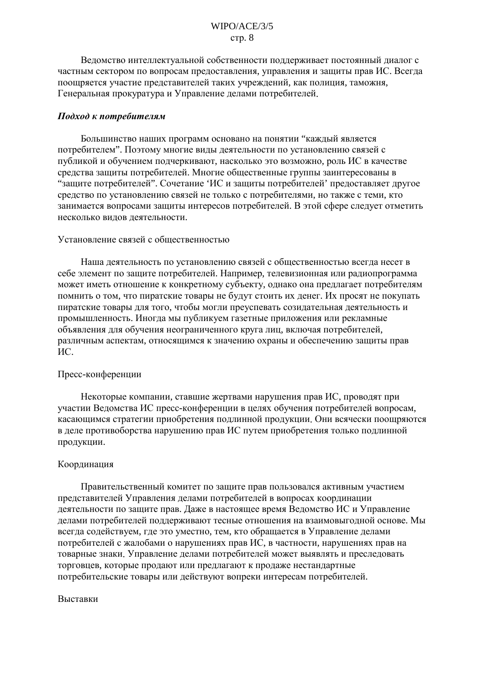## $W \Gamma Q / A C E / 3/5$  $crp. 8$

Веломство интеллектуальной собственности поллерживает постоянный лиалог с частным сектором по вопросам предоставления, управления и защиты прав ИС. Всегда поощряется участие представителей таких учреждений, как полиция, таможня, Генеральная прокуратура и Управление делами потребителей.

#### Подход к потребителям

Большинство наших программ основано на понятии "кажлый является потребителем". Поэтому многие виды деятельности по установлению связей с публикой и обучением подчеркивают, насколько это возможно, роль ИС в качестве средства защиты потребителей. Многие общественные группы заинтересованы в "защите потребителей". Сочетание 'ИС и защиты потребителей' предоставляет другое средство по установлению связей не только с потребителями, но также с теми, кто занимается вопросами защиты интересов потребителей. В этой сфере следует отметить несколько видов деятельности.

## Установление связей с общественностью

Наша деятельность по установлению связей с общественностью всегда несет в себе элемент по защите потребителей. Например, телевизионная или радиопрограмма может иметь отношение к конкретному субъекту, однако она предлагает потребителям помнить о том, что пиратские товары не будут стоить их денег. Их просят не покупать пиратские товары для того, чтобы могли преуспевать созидательная деятельность и промышленность. Иногда мы публикуем газетные приложения или рекламные объявления для обучения неограниченного круга лиц, включая потребителей, различным аспектам, относящимся к значению охраны и обеспечению защиты прав HC.

## Пресс-конференции

Некоторые компании, ставшие жертвами нарушения прав ИС, проводят при участии Ведомства ИС пресс-конференции в целях обучения потребителей вопросам, касающимся стратегии приобретения подлинной продукции. Они всячески поощряются в деле противоборства нарушению прав ИС путем приобретения только подлинной продукции.

## Координация

Правительственный комитет по защите прав пользовался активным участием представителей Управления делами потребителей в вопросах координации деятельности по защите прав. Даже в настоящее время Ведомство ИС и Управление делами потребителей поддерживают тесные отношения на взаимовыгодной основе. Мы всегда содействуем, где это уместно, тем, кто обращается в Управление делами потребителей с жалобами о нарушениях прав ИС, в частности, нарушениях прав на товарные знаки. Управление делами потребителей может выявлять и преследовать торговцев, которые продают или предлагают к продаже нестандартные потребительские товары или действуют вопреки интересам потребителей.

#### Выставки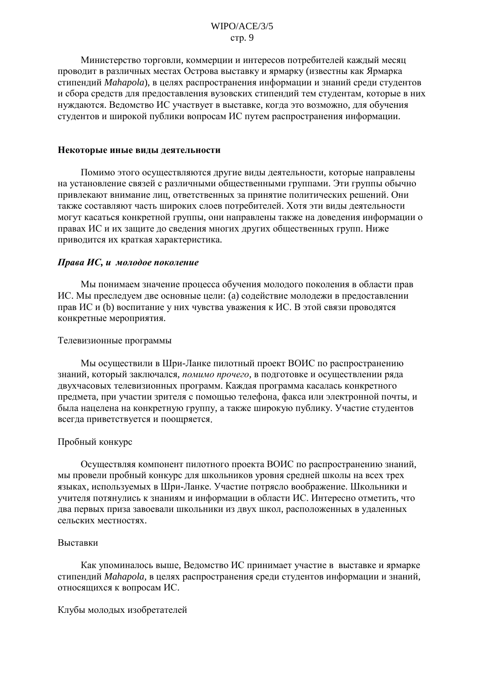## $W \Gamma P Q / A C E / 3/5$  $crp.9$

Министерство торговли, коммерции и интересов потребителей кажлый месяц проводит в различных местах Острова выставку и ярмарку (известны как Ярмарка стипендий Mahapola), в целях распространения информации и знаний среди студентов и сбора средств для предоставления вузовских стипендий тем студентам, которые в них нуждаются. Ведомство ИС участвует в выставке, когда это возможно, для обучения студентов и широкой публики вопросам ИС путем распространения информации.

#### Некоторые иные виды деятельности

Помимо этого осуществляются другие виды деятельности, которые направлены на установление связей с различными общественными группами. Эти группы обычно привлекают внимание лиц, ответственных за принятие политических решений. Они также составляют часть широких слоев потребителей. Хотя эти виды деятельности могут касаться конкретной группы, они направлены также на доведения информации о правах ИС и их защите до сведения многих других общественных групп. Ниже приводится их краткая характеристика.

#### Права ИС, и молодое поколение

Мы понимаем значение процесса обучения молодого поколения в области прав ИС. Мы преследуем две основные цели: (а) содействие молодежи в предоставлении прав ИС и (b) воспитание у них чувства уважения к ИС. В этой связи проводятся конкретные мероприятия.

#### Телевизионные программы

Мы осуществили в Шри-Ланке пилотный проект ВОИС по распространению знаний, который заключался, помимо прочего, в подготовке и осуществлении ряда двухчасовых телевизионных программ. Каждая программа касалась конкретного предмета, при участии зрителя с помошью телефона, факса или электронной почты, и была нацелена на конкретную группу, а также широкую публику. Участие студентов всегда приветствуется и поощряется.

#### Пробный конкурс

Осуществляя компонент пилотного проекта ВОИС по распространению знаний, мы провели пробный конкурс для школьников уровня средней школы на всех трех языках, используемых в Шри-Ланке. Участие потрясло воображение. Школьники и учителя потянулись к знаниям и информации в области ИС. Интересно отметить, что два первых приза завоевали школьники из двух школ, расположенных в удаленных сельских местностях.

#### Выставки

Как упоминалось выше, Ведомство ИС принимает участие в выставке и ярмарке стипендий Mahapola, в целях распространения среди студентов информации и знаний, относящихся к вопросам ИС.

Клубы молодых изобретателей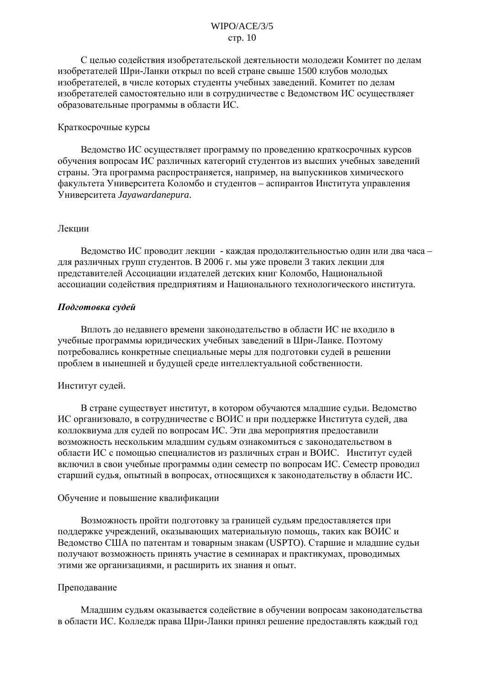# $W \Gamma Q / A C E / 3/5$  $crp. 10$

С целью содействия изобретательской деятельности молодежи Комитет по делам изобретателей Шри-Ланки открыл по всей стране свыше 1500 клубов молодых изобретателей, в числе которых студенты учебных заведений. Комитет по делам изобретателей самостоятельно или в сотрудничестве с Ведомством ИС осуществляет образовательные программы в области ИС.

#### Краткосрочные курсы

Ведомство ИС осуществляет программу по проведению краткосрочных курсов обучения вопросам ИС различных категорий студентов из высших учебных заведений страны. Эта программа распространяется, например, на выпускников химического факультета Университета Коломбо и студентов – аспирантов Института управления Университета Jayawardanepura.

## Лекнии

Ведомство ИС проводит лекции - каждая продолжительностью один или два часа для различных групп студентов. В 2006 г. мы уже провели 3 таких лекции для представителей Ассоциации издателей детских книг Коломбо, Национальной ассоциации содействия предприятиям и Национального технологического института.

## Подготовка судей

Вплоть до недавнего времени законодательство в области ИС не входило в учебные программы юридических учебных заведений в Шри-Ланке. Поэтому потребовались конкретные специальные меры для подготовки судей в решении проблем в нынешней и будущей среде интеллектуальной собственности.

## Институт судей.

В стране существует институт, в котором обучаются младшие судьи. Ведомство ИС организовало, в сотрудничестве с ВОИС и при поддержке Института судей, два коллоквиума для судей по вопросам ИС. Эти два мероприятия предоставили возможность нескольким младшим судьям ознакомиться с законодательством в области ИС с помощью специалистов из различных стран и ВОИС. Институт судей включил в свои учебные программы один семестр по вопросам ИС. Семестр проводил старший судья, опытный в вопросах, относящихся к законодательству в области ИС.

## Обучение и повышение квалификации

Возможность пройти подготовку за границей судьям предоставляется при поддержке учреждений, оказывающих материальную помощь, таких как ВОИС и Ведомство США по патентам и товарным знакам (USPTO). Старшие и младшие судьи получают возможность принять участие в семинарах и практикумах, проводимых этими же организациями, и расширить их знания и опыт.

## Преподавание

Млалшим сульям оказывается солействие в обучении вопросам законолательства в области ИС. Колледж права Шри-Ланки принял решение предоставлять каждый год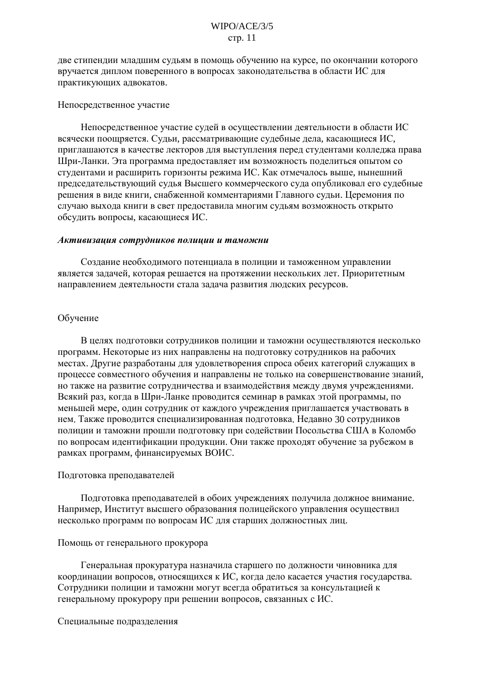лве стипенлии млалшим сульям в помошь обучению на курсе, по окончании которого вручается диплом поверенного в вопросах законодательства в области ИС для практикующих адвокатов.

#### Непосредственное участие

Непосредственное участие судей в осуществлении деятельности в области ИС всячески поошряется. Судьи, рассматривающие судебные дела, касающиеся ИС. приглашаются в качестве лекторов для выступления перед студентами колледжа права Шри-Ланки. Эта программа предоставляет им возможность поделиться опытом со студентами и расширить горизонты режима ИС. Как отмечалось выше, нынешний председательствующий судья Высшего коммерческого суда опубликовал его судебные решения в виде книги, снабженной комментариями Главного судьи. Церемония по случаю выхода книги в свет предоставила многим судьям возможность открыто обсудить вопросы, касающиеся ИС.

#### Активизация сотрудников полиции и таможни

Создание необходимого потенциала в полиции и таможенном управлении является задачей, которая решается на протяжении нескольких лет. Приоритетным направлением деятельности стала задача развития людских ресурсов.

## Обучение

В целях подготовки сотрудников полиции и таможни осуществляются несколько программ. Некоторые из них направлены на подготовку сотрудников на рабочих местах. Другие разработаны для удовлетворения спроса обеих категорий служащих в процессе совместного обучения и направлены не только на совершенствование знаний, но также на развитие сотрудничества и взаимодействия между двумя учреждениями. Всякий раз, когда в Шри-Ланке проводится семинар в рамках этой программы, по меньшей мере, один сотрудник от каждого учреждения приглашается участвовать в нем. Также проводится специализированная подготовка. Недавно 30 сотрудников полиции и таможни прошли подготовку при содействии Посольства США в Коломбо по вопросам идентификации продукции. Они также проходят обучение за рубежом в рамках программ, финансируемых ВОИС.

#### Подготовка преподавателей

Подготовка преподавателей в обоих учреждениях получила должное внимание. Например, Институт высшего образования полицейского управления осуществил несколько программ по вопросам ИС для старших должностных лиц.

#### Помощь от генерального прокурора

Генеральная прокуратура назначила старшего по должности чиновника для координации вопросов, относящихся к ИС, когда дело касается участия государства. Сотрудники полиции и таможни могут всегда обратиться за консультацией к генеральному прокурору при решении вопросов, связанных с ИС.

Специальные подразделения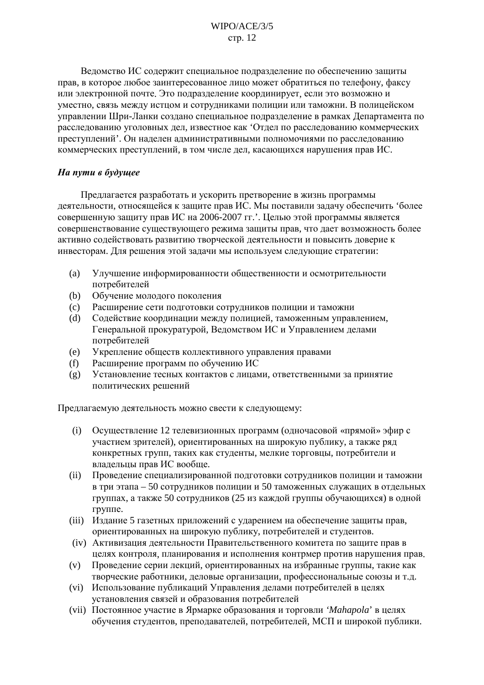Ведомство ИС содержит специальное подразделение по обеспечению защиты прав, в которое любое заинтересованное лицо может обратиться по телефону, факсу или электронной почте. Это подразделение координирует, если это возможно и уместно, связь между истцом и сотрудниками полиции или таможни. В полицейском управлении Шри-Ланки создано специальное подразделение в рамках Департамента по расследованию уголовных дел, известное как 'Отдел по расследованию коммерческих преступлений'. Он налелен алминистративными полномочиями по расследованию коммерческих преступлений, в том числе дел, касающихся нарушения прав ИС.

# На пути в будущее

Предлагается разработать и ускорить претворение в жизнь программы деятельности, относящейся к защите прав ИС. Мы поставили задачу обеспечить 'более совершенную защиту прав ИС на 2006-2007 гг. . Целью этой программы является совершенствование существующего режима защиты прав, что дает возможность более активно содействовать развитию творческой деятельности и повысить доверие к инвесторам. Для решения этой задачи мы используем следующие стратегии:

- Улучшение информированности общественности и осмотрительности  $(a)$ потребителей
- $(b)$ Обучение молодого поколения
- $(c)$ Расширение сети подготовки сотрудников полиции и таможни
- Содействие координации между полицией, таможенным управлением,  $(d)$ Генеральной прокуратурой, Ведомством ИС и Управлением делами потребителей
- Укрепление обществ коллективного управления правами  $(e)$
- $(f)$ Расширение программ по обучению ИС
- Установление тесных контактов с лицами, ответственными за принятие  $(g)$ политических решений

Предлагаемую деятельность можно свести к следующему:

- Осуществление 12 телевизионных программ (одночасовой «прямой» эфир с  $(i)$ участием зрителей), ориентированных на широкую публику, а также ряд конкретных групп, таких как студенты, мелкие торговцы, потребители и владельцы прав ИС вообще.
- Проведение специализированной подготовки сотрудников полиции и таможни  $(ii)$ в три этапа - 50 сотрудников полиции и 50 таможенных служащих в отдельных группах, а также 50 сотрудников (25 из каждой группы обучающихся) в одной группе.
- (iii) Издание 5 газетных приложений с ударением на обеспечение защиты прав, ориентированных на широкую публику, потребителей и студентов.
- (iv) Активизация деятельности Правительственного комитета по защите прав в целях контроля, планирования и исполнения контрмер против нарушения прав.
- Проведение серии лекций, ориентированных на избранные группы, такие как  $(v)$ творческие работники, деловые организации, профессиональные союзы и т.д.
- (vi) Использование публикаций Управления делами потребителей в целях установления связей и образования потребителей
- (vii) Постоянное участие в Ярмарке образования и торговли 'Mahapola' в целях обучения студентов, преподавателей, потребителей, МСП и широкой публики.